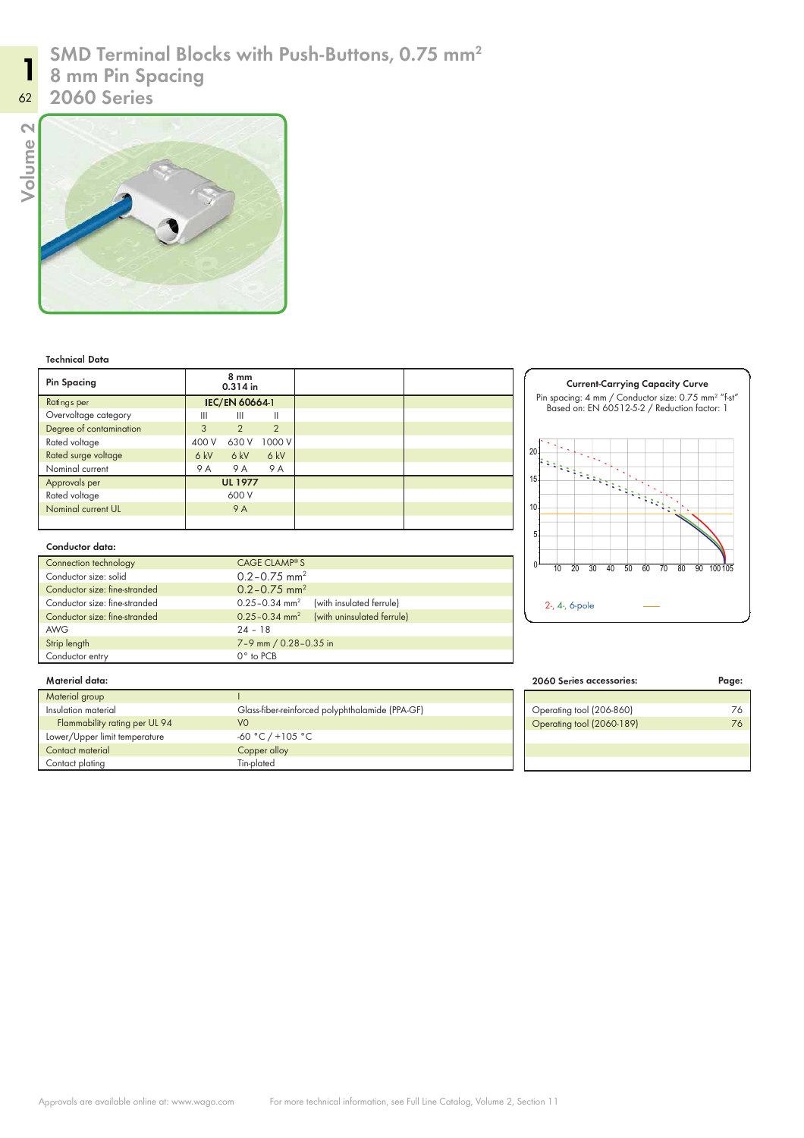# SMD Terminal Blocks with Push-Buttons, 0.75 mm<sup>2</sup>

8 mm Pin Spacing

Volume 2

11



| <b>Pin Spacing</b>      | 8 mm<br>0.314 in      |                |                |
|-------------------------|-----------------------|----------------|----------------|
| Ratings per             | <b>IEC/EN 60664-1</b> |                |                |
| Overvoltage category    | Ш                     | Ш              | Ш              |
| Degree of contamination | 3                     | $\overline{2}$ | $\overline{2}$ |
| Rated voltage           | 400 V                 | 630 V          | 1000 V         |
| Rated surge voltage     | 6 kV                  | 6kV            | 6 kV           |
| Nominal current         | 9 A                   | 9 A            | 9 A            |
| Approvals per           | <b>UL 1977</b>        |                |                |
| Rated voltage           | 600 V                 |                |                |
| Nominal current UL      |                       | <b>9 A</b>     |                |
|                         |                       |                |                |

## Current-Carrying Capacity Curve Pin spacing: 4 mm / Conductor size: 0.75 mm<sup>2</sup> "f-st" Based on: EN 60512-5-2 / Reduction factor: 1 20 15 10 5 0 10 20 30 40 50 60 70 80 90 100 105 2-, 4-, 6-pole

### Conductor data:

| Connection technology         | CAGE CLAMP® S                                             |  |  |  |
|-------------------------------|-----------------------------------------------------------|--|--|--|
| Conductor size: solid         | $0.2 - 0.75$ mm <sup>2</sup>                              |  |  |  |
| Conductor size: fine-stranded | $0.2 - 0.75$ mm <sup>2</sup>                              |  |  |  |
| Conductor size: fine-stranded | $0.25 - 0.34$ mm <sup>2</sup><br>(with insulated ferrule) |  |  |  |
| Conductor size: fine-stranded | 0.25-0.34 mm <sup>2</sup> (with uninsulated ferrule)      |  |  |  |
| <b>AWG</b>                    | $24 - 18$                                                 |  |  |  |
| Strip length                  | 7-9 mm / 0.28-0.35 in                                     |  |  |  |
| Conductor entry               | 0° to PCB                                                 |  |  |  |

| 2060 Series accessories:  | Paae: |  |
|---------------------------|-------|--|
|                           |       |  |
| Operating tool (206-860)  |       |  |
| Operating tool (2060-189) |       |  |
|                           |       |  |
|                           |       |  |
|                           |       |  |

## Merial data:

| Material group                |                                                 |
|-------------------------------|-------------------------------------------------|
| Insulation material           | Glass-fiber-reinforced polyphthalamide (PPA-GF) |
| Flammability rating per UL 94 | VO                                              |
| Lower/Upper limit temperature | $-60 °C$ / +105 °C                              |
| Contact material              | Copper alloy                                    |
| Contact plating               | Tin-plated                                      |